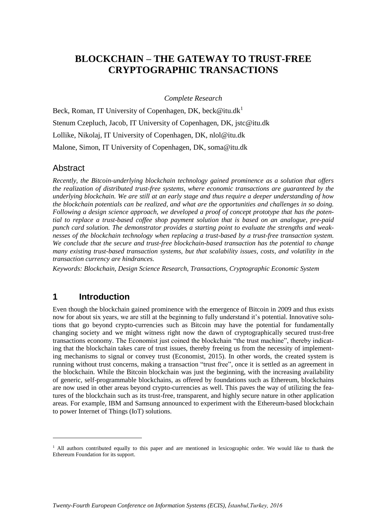# **BLOCKCHAIN – THE GATEWAY TO TRUST-FREE CRYPTOGRAPHIC TRANSACTIONS**

*Complete Research*

Beck, Roman, IT University of Copenhagen, DK, beck@itu.dk<sup>1</sup> Stenum Czepluch, Jacob, IT University of Copenhagen, DK, jstc@itu.dk Lollike, Nikolaj, IT University of Copenhagen, DK, nlol@itu.dk Malone, Simon, IT University of Copenhagen, DK, soma@itu.dk

#### Abstract

*Recently, the Bitcoin-underlying blockchain technology gained prominence as a solution that offers the realization of distributed trust-free systems, where economic transactions are guaranteed by the underlying blockchain. We are still at an early stage and thus require a deeper understanding of how the blockchain potentials can be realized, and what are the opportunities and challenges in so doing. Following a design science approach, we developed a proof of concept prototype that has the potential to replace a trust-based coffee shop payment solution that is based on an analogue, pre-paid punch card solution. The demonstrator provides a starting point to evaluate the strengths and weaknesses of the blockchain technology when replacing a trust-based by a trust-free transaction system. We conclude that the secure and trust-free blockchain-based transaction has the potential to change many existing trust-based transaction systems, but that scalability issues, costs, and volatility in the transaction currency are hindrances.*

*Keywords: Blockchain, Design Science Research, Transactions, Cryptographic Economic System*

### **1 Introduction**

-

Even though the blockchain gained prominence with the emergence of Bitcoin in 2009 and thus exists now for about six years, we are still at the beginning to fully understand it's potential. Innovative solutions that go beyond crypto-currencies such as Bitcoin may have the potential for fundamentally changing society and we might witness right now the dawn of cryptographically secured trust-free transactions economy. The Economist just coined the blockchain "the trust machine", thereby indicating that the blockchain takes care of trust issues, thereby freeing us from the necessity of implementing mechanisms to signal or convey trust (Economist, 2015). In other words, the created system is running without trust concerns, making a transaction "trust free", once it is settled as an agreement in the blockchain. While the Bitcoin blockchain was just the beginning, with the increasing availability of generic, self-programmable blockchains, as offered by foundations such as Ethereum, blockchains are now used in other areas beyond crypto-currencies as well. This paves the way of utilizing the features of the blockchain such as its trust-free, transparent, and highly secure nature in other application areas. For example, IBM and Samsung announced to experiment with the Ethereum-based blockchain to power Internet of Things (IoT) solutions.

 $1$  All authors contributed equally to this paper and are mentioned in lexicographic order. We would like to thank the Ethereum Foundation for its support.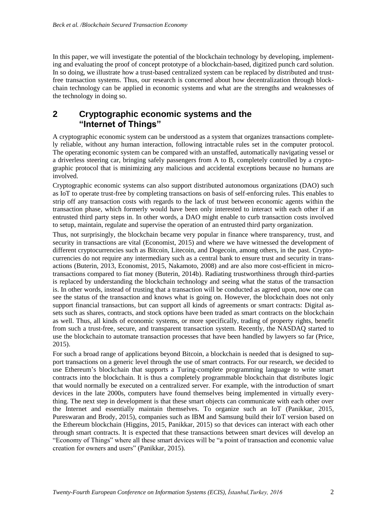In this paper, we will investigate the potential of the blockchain technology by developing, implementing and evaluating the proof of concept prototype of a blockchain-based, digitized punch card solution. In so doing, we illustrate how a trust-based centralized system can be replaced by distributed and trustfree transaction systems. Thus, our research is concerned about how decentralization through blockchain technology can be applied in economic systems and what are the strengths and weaknesses of the technology in doing so.

### **2 Cryptographic economic systems and the "Internet of Things"**

A cryptographic economic system can be understood as a system that organizes transactions completely reliable, without any human interaction, following intractable rules set in the computer protocol. The operating economic system can be compared with an unstaffed, automatically navigating vessel or a driverless steering car, bringing safely passengers from A to B, completely controlled by a cryptographic protocol that is minimizing any malicious and accidental exceptions because no humans are involved.

Cryptographic economic systems can also support distributed autonomous organizations (DAO) such as IoT to operate trust-free by completing transactions on basis of self-enforcing rules. This enables to strip off any transaction costs with regards to the lack of trust between economic agents within the transaction phase, which formerly would have been only interested to interact with each other if an entrusted third party steps in. In other words, a DAO might enable to curb transaction costs involved to setup, maintain, regulate and supervise the operation of an entrusted third party organization.

Thus, not surprisingly, the blockchain became very popular in finance where transparency, trust, and security in transactions are vital (Economist, 2015) and where we have witnessed the development of different cryptocurrencies such as Bitcoin, Litecoin, and Dogecoin, among others, in the past. Cryptocurrencies do not require any intermediary such as a central bank to ensure trust and security in transactions (Buterin, 2013, Economist, 2015, Nakamoto, 2008) and are also more cost-efficient in microtransactions compared to fiat money (Buterin, 2014b). Radiating trustworthiness through third-parties is replaced by understanding the blockchain technology and seeing what the status of the transaction is. In other words, instead of trusting that a transaction will be conducted as agreed upon, now one can see the status of the transaction and knows what is going on. However, the blockchain does not only support financial transactions, but can support all kinds of agreements or smart contracts: Digital assets such as shares, contracts, and stock options have been traded as smart contracts on the blockchain as well. Thus, all kinds of economic systems, or more specifically, trading of property rights, benefit from such a trust-free, secure, and transparent transaction system. Recently, the NASDAQ started to use the blockchain to automate transaction processes that have been handled by lawyers so far (Price, 2015).

For such a broad range of applications beyond Bitcoin, a blockchain is needed that is designed to support transactions on a generic level through the use of smart contracts. For our research, we decided to use Ethereum's blockchain that supports a Turing-complete programming language to write smart contracts into the blockchain. It is thus a completely programmable blockchain that distributes logic that would normally be executed on a centralized server. For example, with the introduction of smart devices in the late 2000s, computers have found themselves being implemented in virtually everything. The next step in development is that these smart objects can communicate with each other over the Internet and essentially maintain themselves. To organize such an IoT (Panikkar, 2015, Pureswaran and Brody, 2015), companies such as IBM and Samsung build their IoT version based on the Ethereum blockchain (Higgins, 2015, Panikkar, 2015) so that devices can interact with each other through smart contracts. It is expected that these transactions between smart devices will develop an "Economy of Things" where all these smart devices will be "a point of transaction and economic value creation for owners and users" (Panikkar, 2015).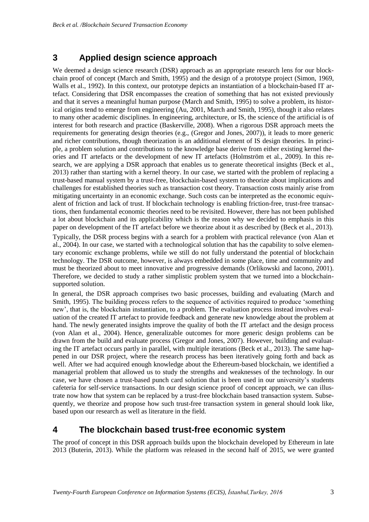## **3 Applied design science approach**

We deemed a design science research (DSR) approach as an appropriate research lens for our blockchain proof of concept (March and Smith, 1995) and the design of a prototype project (Simon, 1969, Walls et al., 1992). In this context, our prototype depicts an instantiation of a blockchain-based IT artefact. Considering that DSR encompasses the creation of something that has not existed previously and that it serves a meaningful human purpose (March and Smith, 1995) to solve a problem, its historical origins tend to emerge from engineering (Au, 2001, March and Smith, 1995), though it also relates to many other academic disciplines. In engineering, architecture, or IS, the science of the artificial is of interest for both research and practice (Baskerville, 2008). When a rigorous DSR approach meets the requirements for generating design theories (e.g., (Gregor and Jones, 2007)), it leads to more generic and richer contributions, though theorization is an additional element of IS design theories. In principle, a problem solution and contributions to the knowledge base derive from either existing kernel theories and IT artefacts or the development of new IT artefacts (Holmström et al., 2009). In this research, we are applying a DSR approach that enables us to generate theoretical insights (Beck et al., 2013) rather than starting with a kernel theory. In our case, we started with the problem of replacing a trust-based manual system by a trust-free, blockchain-based system to theorize about implications and challenges for established theories such as transaction cost theory. Transaction costs mainly arise from mitigating uncertainty in an economic exchange. Such costs can be interpreted as the economic equivalent of friction and lack of trust. If blockchain technology is enabling friction-free, trust-free transactions, then fundamental economic theories need to be revisited. However, there has not been published a lot about blockchain and its applicability which is the reason why we decided to emphasis in this paper on development of the IT artefact before we theorize about it as described by (Beck et al., 2013).

Typically, the DSR process begins with a search for a problem with practical relevance (von Alan et al., 2004). In our case, we started with a technological solution that has the capability to solve elementary economic exchange problems, while we still do not fully understand the potential of blockchain technology. The DSR outcome, however, is always embedded in some place, time and community and must be theorized about to meet innovative and progressive demands (Orlikowski and Iacono, 2001). Therefore, we decided to study a rather simplistic problem system that we turned into a blockchainsupported solution.

In general, the DSR approach comprises two basic processes, building and evaluating (March and Smith, 1995). The building process refers to the sequence of activities required to produce 'something new', that is, the blockchain instantiation, to a problem. The evaluation process instead involves evaluation of the created IT artefact to provide feedback and generate new knowledge about the problem at hand. The newly generated insights improve the quality of both the IT artefact and the design process (von Alan et al., 2004). Hence, generalizable outcomes for more generic design problems can be drawn from the build and evaluate process (Gregor and Jones, 2007). However, building and evaluating the IT artefact occurs partly in parallel, with multiple iterations (Beck et al., 2013). The same happened in our DSR project, where the research process has been iteratively going forth and back as well. After we had acquired enough knowledge about the Ethereum-based blockchain, we identified a managerial problem that allowed us to study the strengths and weaknesses of the technology. In our case, we have chosen a trust-based punch card solution that is been used in our university's students cafeteria for self-service transactions. In our design science proof of concept approach, we can illustrate now how that system can be replaced by a trust-free blockchain based transaction system. Subsequently, we theorize and propose how such trust-free transaction system in general should look like, based upon our research as well as literature in the field.

### **4 The blockchain based trust-free economic system**

The proof of concept in this DSR approach builds upon the blockchain developed by Ethereum in late 2013 (Buterin, 2013). While the platform was released in the second half of 2015, we were granted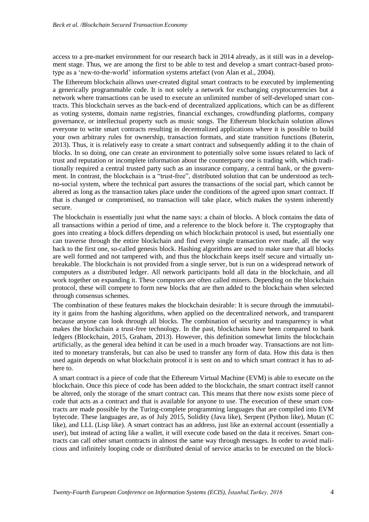access to a pre-market environment for our research back in 2014 already, as it still was in a development stage. Thus, we are among the first to be able to test and develop a smart contract-based prototype as a 'new-to-the-world' information systems artefact (von Alan et al., 2004).

The Ethereum blockchain allows user-created digital smart contracts to be executed by implementing a generically programmable code. It is not solely a network for exchanging cryptocurrencies but a network where transactions can be used to execute an unlimited number of self-developed smart contracts. This blockchain serves as the back-end of decentralized applications, which can be as different as voting systems, domain name registries, financial exchanges, crowdfunding platforms, company governance, or intellectual property such as music songs. The Ethereum blockchain solution allows everyone to write smart contracts resulting in decentralized applications where it is possible to build your own arbitrary rules for ownership, transaction formats, and state transition functions (Buterin, 2013). Thus, it is relatively easy to create a smart contract and subsequently adding it to the chain of blocks. In so doing, one can create an environment to potentially solve some issues related to lack of trust and reputation or incomplete information about the counterparty one is trading with, which traditionally required a central trusted party such as an insurance company, a central bank, or the government. In contrast, the blockchain is a "trust-free", distributed solution that can be understood as techno-social system, where the technical part assures the transactions of the social part, which cannot be altered as long as the transaction takes place under the conditions of the agreed upon smart contract. If that is changed or compromised, no transaction will take place, which makes the system inherently secure.

The blockchain is essentially just what the name says: a chain of blocks. A block contains the data of all transactions within a period of time, and a reference to the block before it. The cryptography that goes into creating a block differs depending on which blockchain protocol is used, but essentially one can traverse through the entire blockchain and find every single transaction ever made, all the way back to the first one, so-called genesis block. Hashing algorithms are used to make sure that all blocks are well formed and not tampered with, and thus the blockchain keeps itself secure and virtually unbreakable. The blockchain is not provided from a single server, but is run on a widespread network of computers as a distributed ledger. All network participants hold all data in the blockchain, and all work together on expanding it. These computers are often called miners. Depending on the blockchain protocol, these will compete to form new blocks that are then added to the blockchain when selected through consensus schemes.

The combination of these features makes the blockchain desirable: It is secure through the immutability it gains from the hashing algorithms, when applied on the decentralized network, and transparent because anyone can look through all blocks. The combination of security and transparency is what makes the blockchain a trust-free technology. In the past, blockchains have been compared to bank ledgers (Blockchain, 2015, Graham, 2013). However, this definition somewhat limits the blockchain artificially, as the general idea behind it can be used in a much broader way. Transactions are not limited to monetary transferals, but can also be used to transfer any form of data. How this data is then used again depends on what blockchain protocol it is sent on and to which smart contract it has to adhere to.

A smart contract is a piece of code that the Ethereum Virtual Machine (EVM) is able to execute on the blockchain. Once this piece of code has been added to the blockchain, the smart contract itself cannot be altered, only the storage of the smart contract can. This means that there now exists some piece of code that acts as a contract and that is available for anyone to use. The execution of these smart contracts are made possible by the Turing-complete programming languages that are compiled into EVM bytecode. These languages are, as of July 2015, Solidity (Java like), Serpent (Python like), Mutan (C like), and LLL (Lisp like). A smart contract has an address, just like an external account (essentially a user), but instead of acting like a wallet, it will execute code based on the data it receives. Smart contracts can call other smart contracts in almost the same way through messages. In order to avoid malicious and infinitely looping code or distributed denial of service attacks to be executed on the block-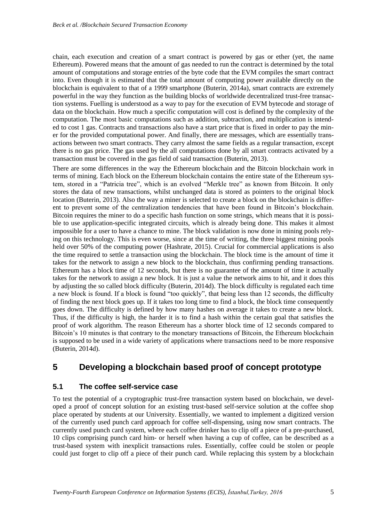chain, each execution and creation of a smart contract is powered by gas or ether (yet, the name Ethereum). Powered means that the amount of gas needed to run the contract is determined by the total amount of computations and storage entries of the byte code that the EVM compiles the smart contract into. Even though it is estimated that the total amount of computing power available directly on the blockchain is equivalent to that of a 1999 smartphone (Buterin, 2014a), smart contracts are extremely powerful in the way they function as the building blocks of worldwide decentralized trust-free transaction systems. Fuelling is understood as a way to pay for the execution of EVM bytecode and storage of data on the blockchain. How much a specific computation will cost is defined by the complexity of the computation. The most basic computations such as addition, subtraction, and multiplication is intended to cost 1 gas. Contracts and transactions also have a start price that is fixed in order to pay the miner for the provided computational power. And finally, there are messages, which are essentially transactions between two smart contracts. They carry almost the same fields as a regular transaction, except there is no gas price. The gas used by the all computations done by all smart contracts activated by a transaction must be covered in the gas field of said transaction (Buterin, 2013).

There are some differences in the way the Ethereum blockchain and the Bitcoin blockchain work in terms of mining. Each block on the Ethereum blockchain contains the entire state of the Ethereum system, stored in a "Patricia tree", which is an evolved "Merkle tree" as known from Bitcoin. It only stores the data of new transactions, whilst unchanged data is stored as pointers to the original block location (Buterin, 2013). Also the way a miner is selected to create a block on the blockchain is different to prevent some of the centralization tendencies that have been found in Bitcoin's blockchain. Bitcoin requires the miner to do a specific hash function on some strings, which means that it is possible to use application-specific integrated circuits, which is already being done. This makes it almost impossible for a user to have a chance to mine. The block validation is now done in mining pools relying on this technology. This is even worse, since at the time of writing, the three biggest mining pools held over 50% of the computing power (Hashrate, 2015). Crucial for commercial applications is also the time required to settle a transaction using the blockchain. The block time is the amount of time it takes for the network to assign a new block to the blockchain, thus confirming pending transactions. Ethereum has a block time of 12 seconds, but there is no guarantee of the amount of time it actually takes for the network to assign a new block. It is just a value the network aims to hit, and it does this by adjusting the so called block difficulty (Buterin, 2014d). The block difficulty is regulated each time a new block is found. If a block is found "too quickly", that being less than 12 seconds, the difficulty of finding the next block goes up. If it takes too long time to find a block, the block time consequently goes down. The difficulty is defined by how many hashes on average it takes to create a new block. Thus, if the difficulty is high, the harder it is to find a hash within the certain goal that satisfies the proof of work algorithm. The reason Ethereum has a shorter block time of 12 seconds compared to Bitcoin's 10 minutes is that contrary to the monetary transactions of Bitcoin, the Ethereum blockchain is supposed to be used in a wide variety of applications where transactions need to be more responsive (Buterin, 2014d).

### **5 Developing a blockchain based proof of concept prototype**

#### **5.1 The coffee self-service case**

To test the potential of a cryptographic trust-free transaction system based on blockchain, we developed a proof of concept solution for an existing trust-based self-service solution at the coffee shop place operated by students at our University. Essentially, we wanted to implement a digitized version of the currently used punch card approach for coffee self-dispensing, using now smart contracts. The currently used punch card system, where each coffee drinker has to clip off a piece of a pre-purchased, 10 clips comprising punch card him- or herself when having a cup of coffee, can be described as a trust-based system with inexplicit transactions rules. Essentially, coffee could be stolen or people could just forget to clip off a piece of their punch card. While replacing this system by a blockchain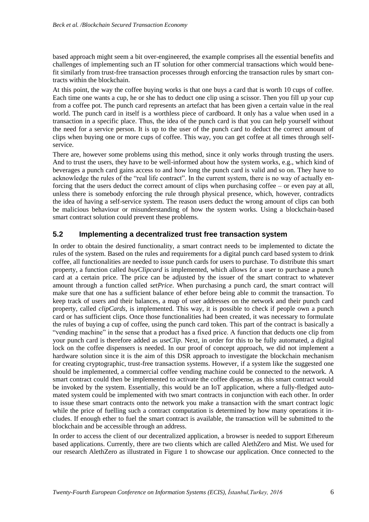based approach might seem a bit over-engineered, the example comprises all the essential benefits and challenges of implementing such an IT solution for other commercial transactions which would benefit similarly from trust-free transaction processes through enforcing the transaction rules by smart contracts within the blockchain.

At this point, the way the coffee buying works is that one buys a card that is worth 10 cups of coffee. Each time one wants a cup, he or she has to deduct one clip using a scissor. Then you fill up your cup from a coffee pot. The punch card represents an artefact that has been given a certain value in the real world. The punch card in itself is a worthless piece of cardboard. It only has a value when used in a transaction in a specific place. Thus, the idea of the punch card is that you can help yourself without the need for a service person. It is up to the user of the punch card to deduct the correct amount of clips when buying one or more cups of coffee. This way, you can get coffee at all times through selfservice.

There are, however some problems using this method, since it only works through trusting the users. And to trust the users, they have to be well-informed about how the system works, e.g., which kind of beverages a punch card gains access to and how long the punch card is valid and so on. They have to acknowledge the rules of the "real life contract". In the current system, there is no way of actually enforcing that the users deduct the correct amount of clips when purchasing coffee – or even pay at all, unless there is somebody enforcing the rule through physical presence, which, however, contradicts the idea of having a self-service system. The reason users deduct the wrong amount of clips can both be malicious behaviour or misunderstanding of how the system works. Using a blockchain-based smart contract solution could prevent these problems.

#### **5.2 Implementing a decentralized trust free transaction system**

In order to obtain the desired functionality, a smart contract needs to be implemented to dictate the rules of the system. Based on the rules and requirements for a digital punch card based system to drink coffee, all functionalities are needed to issue punch cards for users to purchase. To distribute this smart property, a function called *buyClipcard* is implemented, which allows for a user to purchase a punch card at a certain price. The price can be adjusted by the issuer of the smart contract to whatever amount through a function called *setPrice*. When purchasing a punch card, the smart contract will make sure that one has a sufficient balance of ether before being able to commit the transaction. To keep track of users and their balances, a map of user addresses on the network and their punch card property, called *clipCards*, is implemented. This way, it is possible to check if people own a punch card or has sufficient clips. Once those functionalities had been created, it was necessary to formulate the rules of buying a cup of coffee, using the punch card token. This part of the contract is basically a "vending machine" in the sense that a product has a fixed price. A function that deducts one clip from your punch card is therefore added as *useClip*. Next, in order for this to be fully automated, a digital lock on the coffee dispensers is needed. In our proof of concept approach, we did not implement a hardware solution since it is the aim of this DSR approach to investigate the blockchain mechanism for creating cryptographic, trust-free transaction systems. However, if a system like the suggested one should be implemented, a commercial coffee vending machine could be connected to the network. A smart contract could then be implemented to activate the coffee dispense, as this smart contract would be invoked by the system. Essentially, this would be an IoT application, where a fully-fledged automated system could be implemented with two smart contracts in conjunction with each other. In order to issue these smart contracts onto the network you make a transaction with the smart contract logic while the price of fuelling such a contract computation is determined by how many operations it includes. If enough ether to fuel the smart contract is available, the transaction will be submitted to the blockchain and be accessible through an address.

In order to access the client of our decentralized application, a browser is needed to support Ethereum based applications. Currently, there are two clients which are called AlethZero and Mist. We used for our research AlethZero as illustrated in [Figure 1](#page-6-0) to showcase our application. Once connected to the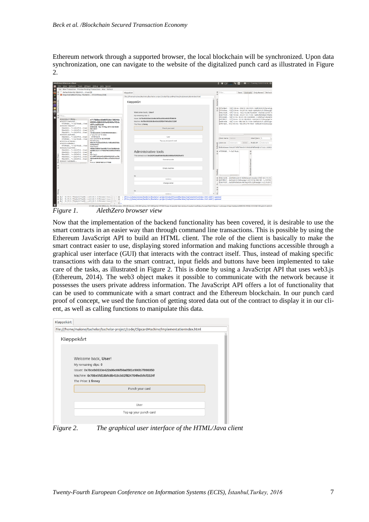Ethereum network through a supported browser, the local blockchain will be synchronized. Upon data synchronization, one can navigate to the website of the digitalized punch card as illustrated in [Figure](#page-6-1)  [2.](#page-6-1)

| <b>AlethZero Ethereum Client</b><br>File View Network Tools Whisper Debug Help Special                                                                                                                                                                      |                                                                                                                                                                                                                                | 图 << Tue May 19 2015 16:18 卷<br>$R$ $\boldsymbol{x}$ $\boldsymbol{\cdot}$<br>$T_1$ $D_2$ $\frac{1}{2}$                                                                                                                                                                                                                                                                                                                   |
|-------------------------------------------------------------------------------------------------------------------------------------------------------------------------------------------------------------------------------------------------------------|--------------------------------------------------------------------------------------------------------------------------------------------------------------------------------------------------------------------------------|--------------------------------------------------------------------------------------------------------------------------------------------------------------------------------------------------------------------------------------------------------------------------------------------------------------------------------------------------------------------------------------------------------------------------|
| Go! New Transaction Preview Pending Transactions Mine Refresh                                                                                                                                                                                               |                                                                                                                                                                                                                                |                                                                                                                                                                                                                                                                                                                                                                                                                          |
| Default identity fd6cb431: 0 wei [0]                                                                                                                                                                                                                        |                                                                                                                                                                                                                                | Filter.<br>Basic Contracts Only Named Refresh                                                                                                                                                                                                                                                                                                                                                                            |
| M Imported (UNSAFE) key, 78ceb033: 97539 finney [108]                                                                                                                                                                                                       | Kløppekärt                                                                                                                                                                                                                     |                                                                                                                                                                                                                                                                                                                                                                                                                          |
|                                                                                                                                                                                                                                                             | file:///home/malone/Bachelor/bachelor-project/code/ClipcardMachine/implementationIndex.html                                                                                                                                    |                                                                                                                                                                                                                                                                                                                                                                                                                          |
|                                                                                                                                                                                                                                                             | Kløppekårt                                                                                                                                                                                                                     |                                                                                                                                                                                                                                                                                                                                                                                                                          |
| Filter.<br>#385258 e717bbba                                                                                                                                                                                                                                 | Welcome back. User!<br>My remaining clips: 0<br>Issuer: 0x78ceb0333e422a96c06f50a0581e900b7f098050                                                                                                                             | [3f3438e2 132] 108 ms - 208.52.168.126:0 - Geth/v0.9.22/darwin/g<br>@ [7f25d3ea 125] 229 ms - 54.207.93.166:0 - Geth/v0.9.21.1/linux/go<br>[50ec4cd0 137] 133 ms - 162.213.238.72:30304 - AlethZero/v0.9.18<br>[03e7493f 128] 192 ms - 24.251.161.112:0 - Geth/Michelson-Morley<br>[cf2336eb 130] 33 ms - 92.51.165.126:30303 - ++eth/Gav's Node/v0<br>[a979fb57 127] 36 ms - 52.16.188.185:0 - Geth/v0.9.21/linux/go1.4 |
| e717bbbac83e00f326c730246c<br>#38525724e6c1d5<br>09592c08b54434a42460ef43dc                                                                                                                                                                                 | Machine: 0x706e5fd18bfc8b418cb02f824704fedbfcf1524                                                                                                                                                                             | [aef81e58 164] 14 ms - 188.166.78.116:0 - Geth/v0.9.21.1/linux/go                                                                                                                                                                                                                                                                                                                                                        |
| 47599668 *> 5a219cab: 0 we<br>d87ccedfbdd0                                                                                                                                                                                                                  | The Price: 1 finney                                                                                                                                                                                                            | eff61ab3 135 125 ms - 162.245.219.146:0 - Geth/v0.9.22/linux/go                                                                                                                                                                                                                                                                                                                                                          |
| #385256766ac547<br>#385258 Tue 19 May 2015 04:18:04<br>78ceb033 *> c2624f1d: 0 we<br><b>PM CEST</b><br>78ceb033 *> c2624f1d: 0 we<br>D/TD:                                                                                                                  | Punch your card                                                                                                                                                                                                                |                                                                                                                                                                                                                                                                                                                                                                                                                          |
| 78ceb033 *> c2624f1d: 0 we<br>10180224701/275019939494808 -<br>#385255 cda9c8eb                                                                                                                                                                             |                                                                                                                                                                                                                                |                                                                                                                                                                                                                                                                                                                                                                                                                          |
| 2^33.2451/2^47.9665<br>Children: 0<br>78ceb033 *> c2624f1d: 0 we                                                                                                                                                                                            | Liser                                                                                                                                                                                                                          |                                                                                                                                                                                                                                                                                                                                                                                                                          |
| Gas used/limit: 0/3141592<br>47599668 *> 5a219cab: 0 we                                                                                                                                                                                                     |                                                                                                                                                                                                                                | <b>Ideal Peers</b> 5<br>Client Name malone                                                                                                                                                                                                                                                                                                                                                                               |
| Beneficiary:<br>#385254 cd1b6d4d<br>602c7c73a5be0209c5c148ba86d3bbc<br>#38525360fe80c5                                                                                                                                                                      | Top up your punch card                                                                                                                                                                                                         | Automatic<br>30303<br>Automatic<br>Listen on<br>Public IP                                                                                                                                                                                                                                                                                                                                                                |
| ea3e25bb7<br>47599668 *> 5a219cab: 0 we<br>Seed hash:<br>#385252532d7593<br>4db8c3d89b7de6ddb733a736d664eb<br>78ceb033 *> c2624f1d: 0 we<br>da3b6c5c5131f406df463e8f83d78052<br>78ceb033 *> c2624f1d: 0 we<br>83<br>78ceb033 *> c2624f1d: 0 we<br>Mix hash: | Administrative tools<br>This contract is at: 0xc2624f1daad05afc81a3b2c8808af93962f6a473                                                                                                                                        | b5b365eaae1b0c26778f6f49a4b4199655d48f8e0@127.0.0.1:30303<br>R 47599668 *> Sa219cab.                                                                                                                                                                                                                                                                                                                                     |
| 61cd9f74604467dd5363565d91acf06<br>78ceb033 *> c2624f1d: 0 we<br>5b02a8093d5e2bfd95cc3f0d3b745cd                                                                                                                                                            |                                                                                                                                                                                                                                |                                                                                                                                                                                                                                                                                                                                                                                                                          |
| 78ceb033 *> c2624f1d: 0 we<br>27<br>#3852514a59da92                                                                                                                                                                                                         | Commit suicide                                                                                                                                                                                                                 |                                                                                                                                                                                                                                                                                                                                                                                                                          |
| Nonce: b93874852a177068                                                                                                                                                                                                                                     |                                                                                                                                                                                                                                |                                                                                                                                                                                                                                                                                                                                                                                                                          |
|                                                                                                                                                                                                                                                             | Erricky machine                                                                                                                                                                                                                |                                                                                                                                                                                                                                                                                                                                                                                                                          |
|                                                                                                                                                                                                                                                             |                                                                                                                                                                                                                                |                                                                                                                                                                                                                                                                                                                                                                                                                          |
|                                                                                                                                                                                                                                                             | <b>Address</b>                                                                                                                                                                                                                 | 8 [S0ec4cd0 AlethZero/v0.9.18/Release/Linux/g++/int] 162.213.23<br>@ [a979fb57 Geth/v0.9.21/linux/go1.4.2] 52.16.188.185 - (=12019c)                                                                                                                                                                                                                                                                                     |
|                                                                                                                                                                                                                                                             |                                                                                                                                                                                                                                | 03e7493f Geth/Michelson-Morley/v0.9.22/linux/go1.4.2 24.251                                                                                                                                                                                                                                                                                                                                                              |
|                                                                                                                                                                                                                                                             | Change owner                                                                                                                                                                                                                   |                                                                                                                                                                                                                                                                                                                                                                                                                          |
|                                                                                                                                                                                                                                                             |                                                                                                                                                                                                                                |                                                                                                                                                                                                                                                                                                                                                                                                                          |
|                                                                                                                                                                                                                                                             |                                                                                                                                                                                                                                |                                                                                                                                                                                                                                                                                                                                                                                                                          |
|                                                                                                                                                                                                                                                             | Address                                                                                                                                                                                                                        |                                                                                                                                                                                                                                                                                                                                                                                                                          |
|                                                                                                                                                                                                                                                             | 01:39:51 PH p2p 6274ae0d. ++eth/v0.9.23/Release/Linux <sub>i</sub> C =   = B > (flle:///home/malone/Bachelor-project/code/ClipcardMachine/implementationIndex.html:6697):updated                                               |                                                                                                                                                                                                                                                                                                                                                                                                                          |
| 등 i 01:39:51 PM p2p   6274ae0d.   + +eth/v0.9.23/Release/Linux,<br>§ i 01:39:51 PM p2p 6274ae0d. ++eth/v0.9.23/Release/Linux, - - -<br><b>A.L., R.R., R.L., Rose 4.</b><br>2.1                                                                              | - @ > (file:///home/malone/Bachelor/bachelor-project/code/ClipcardMachine/implementationIndex.html:6697):updated                                                                                                               |                                                                                                                                                                                                                                                                                                                                                                                                                          |
|                                                                                                                                                                                                                                                             | 25 MB total (24 MB blocks, 352 KB receipts, 378 KB blooms, 203 KB hashes, 267 KB family) 97539 finney 8 peer(s) Not mining 0 ready 0 verifying 0 greaty 0 shares 1 grady 0 students 1 unknown 0 bad testnet #385258 PV60.3 D12 |                                                                                                                                                                                                                                                                                                                                                                                                                          |

<span id="page-6-0"></span>*Figure 1. AlethZero browser view*

Now that the implementation of the backend functionality has been covered, it is desirable to use the smart contracts in an easier way than through command line transactions. This is possible by using the Ethereum JavaScript API to build an HTML client. The role of the client is basically to make the smart contract easier to use, displaying stored information and making functions accessible through a graphical user interface (GUI) that interacts with the contract itself. Thus, instead of making specific transactions with data to the smart contract, input fields and buttons have been implemented to take care of the tasks, as illustrated in [Figure 2.](#page-6-1) This is done by using a JavaScript API that uses web3.js (Ethereum, 2014). The web3 object makes it possible to communicate with the network because it possesses the users private address information. The JavaScript API offers a lot of functionality that can be used to communicate with a smart contract and the Ethereum blockchain. In our punch card proof of concept, we used the function of getting stored data out of the contract to display it in our client, as well as calling functions to manipulate this data.

| Kløppekårt                                                                                                                                                                       |                        |
|----------------------------------------------------------------------------------------------------------------------------------------------------------------------------------|------------------------|
| file:///home/malone/Bachelor/bachelor-project/code/ClipcardMachine/implementationIndex.html                                                                                      |                        |
| Kløppekårt                                                                                                                                                                       |                        |
| Welcome back, User!<br>My remaining clips: 0<br>Issuer: 0x78ceb0333e422a96c06f50a0581e900b7f098050<br>Machine: 0x706e5fd18bfc8b418cb02f824704fedbfcf1524f<br>The Price: 1 finney |                        |
|                                                                                                                                                                                  | Punch your card        |
|                                                                                                                                                                                  |                        |
|                                                                                                                                                                                  | User                   |
|                                                                                                                                                                                  | Top up your punch card |
|                                                                                                                                                                                  |                        |

<span id="page-6-1"></span>*Figure 2. The graphical user interface of the HTML/Java client*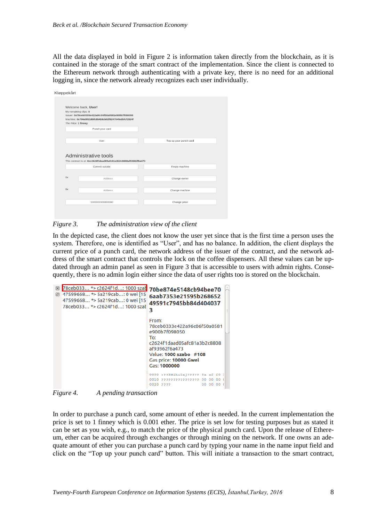All the data displayed in bold in Figure 2 is information taken directly from the blockchain, as it is contained in the storage of the smart contract of the implementation. Since the client is connected to the Ethereum network through authenticating with a private key, there is no need for an additional logging in, since the network already recognizes each user individually.

| Welcome back, User!<br>My remaining clips: 0<br>The Price: 1 finney | Issuer: 0x78ceb0333e422a96c06f50a0581e900b7f098050<br>Machine: 0x706e5fd18bfc8b418cb02f824704fedbfcf1524f |                        |
|---------------------------------------------------------------------|-----------------------------------------------------------------------------------------------------------|------------------------|
|                                                                     | Punch your card                                                                                           |                        |
|                                                                     | User                                                                                                      | Top up your punch card |
|                                                                     | Administrative tools                                                                                      |                        |
|                                                                     | This contract is at: 0xc2624f1daad05afc81a3b2c8808af93962f6a473<br>Commit suicide                         | Empty machine          |
|                                                                     |                                                                                                           |                        |
| 0x                                                                  | Address                                                                                                   | Change owner           |
|                                                                     |                                                                                                           |                        |
| 0x                                                                  | Address                                                                                                   | Change machine         |

#### <span id="page-7-0"></span>*Figure 3. The administration view of the client*

In the depicted case, the client does not know the user yet since that is the first time a person uses the system. Therefore, one is identified as "User", and has no balance. In addition, the client displays the current price of a punch card, the network address of the issuer of the contract, and the network address of the smart contract that controls the lock on the coffee dispensers. All these values can be up-dated through an admin panel as seen in [Figure 3](#page-7-0) that is accessible to users with admin rights. Consequently, there is no admin login either since the data of user rights too is stored on the blockchain.

| 図<br>冏 | 78ceb033 *> c2624f1d: 1000 szad 70be874e5148cb94bee70<br>47599668 *> 5a219cab: 0 wei [15<br>47599668 *> 5a219cab: 0 wei [15]<br>78ceb033 *> c2624f1d: 1000 szał | 6aab7353e21595b268652<br>49591c7945bb84d404037<br>3                                                                                                                             |  |
|--------|-----------------------------------------------------------------------------------------------------------------------------------------------------------------|---------------------------------------------------------------------------------------------------------------------------------------------------------------------------------|--|
|        |                                                                                                                                                                 | From:<br>78ceb0333e422a96c06f50a0581<br>e900b7f098050<br>To:<br>c2624f1daad05afc81a3b2c8808<br>af93962f6a473<br>Value: 1000 szabo #108<br>Gas price: 10000 Gwei<br>Gas: 1000000 |  |
|        |                                                                                                                                                                 | 0000 :??3Nikolaj????? 3a af f0<br>????????????????                                                                                                                              |  |
|        |                                                                                                                                                                 | 0020 2222                                                                                                                                                                       |  |

<span id="page-7-1"></span>*Figure 4. A pending transaction*

In order to purchase a punch card, some amount of ether is needed. In the current implementation the price is set to 1 finney which is 0.001 ether. The price is set low for testing purposes but as stated it can be set as you wish, e.g., to match the price of the physical punch card. Upon the release of Ethereum, ether can be acquired through exchanges or through mining on the network. If one owns an adequate amount of ether you can purchase a punch card by typing your name in the name input field and click on the "Top up your punch card" button. This will initiate a transaction to the smart contract,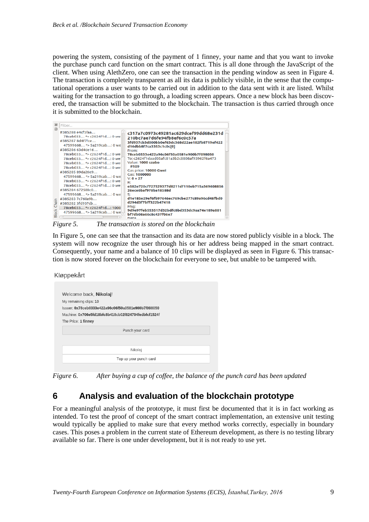powering the system, consisting of the payment of 1 finney, your name and that you want to invoke the purchase punch card function on the smart contract. This is all done through the JavaScript of the client. When using AlethZero, one can see the transaction in the pending window as seen in [Figure 4.](#page-7-1) The transaction is completely transparent as all its data is publicly visible, in the sense that the computational operations a user wants to be carried out in addition to the data sent with it are listed. Whilst waiting for the transaction to go through, a loading screen appears. Once a new block has been discovered, the transaction will be submitted to the blockchain. The transaction is thus carried through once it is submitted to the blockchain.

| 冈<br>Filter  |                                                                                                                                                                                                                                                                                                                                                                                                                                                                                     |                                                                                                                                                                                                                                                                                                                                                                                                                                                                                                               |
|--------------|-------------------------------------------------------------------------------------------------------------------------------------------------------------------------------------------------------------------------------------------------------------------------------------------------------------------------------------------------------------------------------------------------------------------------------------------------------------------------------------|---------------------------------------------------------------------------------------------------------------------------------------------------------------------------------------------------------------------------------------------------------------------------------------------------------------------------------------------------------------------------------------------------------------------------------------------------------------------------------------------------------------|
| 问<br>e.<br>오 | #385288 e4cf5faa<br>78ceb033 *> c2624f1d: 0 we<br>#385287 8d4f7fce<br>47599668 *> 5a219cab: 0 we<br>#385286 63d4de16<br>78ceb033 *> c2624f1d: 0 we<br>78ceb033 *> c2624f1d: 0 we<br>78ceb033 *> c2624f1d: 0 we<br>78ceb033 *> c2624f1d: 0 wei<br>#385285 89da26e9<br>47599668 *> 5a219cab: 0 we<br>78ceb033 *> c2624f1d: 0 we<br>78ceb033 *> c2624f1d: 0 we<br>#385284 672588c0<br>47599668 *> 5a219cab: 0 we<br>#3852837c760a9b<br>#385282 3fd937cb<br>78ceb033 * > c2624f1d: 1000 | c317a7c0973c49281ac629dcef99dd68e231d<br>210bc7ae7d6fe94fb8ef6c0c57a<br>3fd937cb3d000bb0ef63dc368d22ae182fb8719ef422<br>d16dbb8f7ca3353c1c0c[0]<br>From:<br>78ceb0333e422a96c06f50a0581e900b7f098050<br>To: c2624f1daad05afc81a3b2c8808af93962f6a473<br>Value: 1000 szabo<br>#109<br>Gas price: 10000 Gwei<br>Gas: 1000000<br>$V: 0 + 27$<br>R:<br>e582e720cf727529377d8211df110eb715a369608856<br>26ece6baf978ba18588d<br>S.<br>d1e185e29ef6fb97646ec769cbe277c89a96cd48fbd0<br>d294d3f7bff322b47418<br>Msg: |
| <b>Block</b> | 47599668 *> 5a219cab: 0 we<br>1.11                                                                                                                                                                                                                                                                                                                                                                                                                                                  | 9d9e97feb553517d32bdfc8bd353dc9aa74e189a881<br>bf7db08a66c8c437f06e7<br>Data                                                                                                                                                                                                                                                                                                                                                                                                                                  |

<span id="page-8-0"></span>*Figure 5. The transaction is stored on the blockchain*

In [Figure 5,](#page-8-0) one can see that the transaction and its data are now stored publicly visible in a block. The system will now recognize the user through his or her address being mapped in the smart contract. Consequently, your name and a balance of 10 clips will be displayed as seen in [Figure 6.](#page-8-1) This transaction is now stored forever on the blockchain for everyone to see, but unable to be tampered with.

Kløppekårt

|                        | Welcome back, Nikolaj!                              |  |
|------------------------|-----------------------------------------------------|--|
| My remaining clips: 10 |                                                     |  |
|                        | Issuer: 0x78ceb0333e422a96c06f50a0581e900b7f098050  |  |
|                        | Machine: 0x706e5fd18bfc8b418cb02f824704fedbfcf1524f |  |
| The Price: 1 finney    |                                                     |  |
|                        | Punch your card                                     |  |
|                        |                                                     |  |
|                        | Nikolaj                                             |  |
|                        | Top up your punch card                              |  |

<span id="page-8-1"></span>*Figure 6. After buying a cup of coffee, the balance of the punch card has been updated*

### **6 Analysis and evaluation of the blockchain prototype**

For a meaningful analysis of the prototype, it must first be documented that it is in fact working as intended. To test the proof of concept of the smart contract implementation, an extensive unit testing would typically be applied to make sure that every method works correctly, especially in boundary cases. This poses a problem in the current state of Ethereum development, as there is no testing library available so far. There is one under development, but it is not ready to use yet.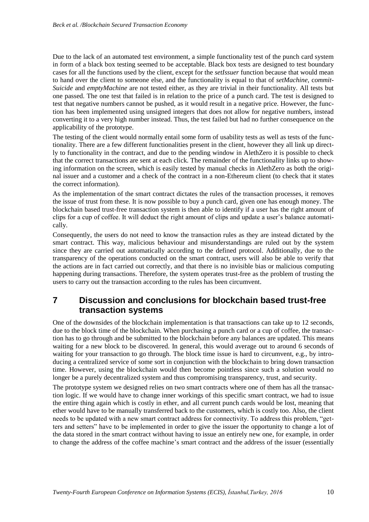Due to the lack of an automated test environment, a simple functionality test of the punch card system in form of a black box testing seemed to be acceptable. Black box tests are designed to test boundary cases for all the functions used by the client, except for the *setIssuer* function because that would mean to hand over the client to someone else, and the functionality is equal to that of *setMachine,* c*ommit-Suicide* and *emptyMachine* are not tested either, as they are trivial in their functionality. All tests but one passed. The one test that failed is in relation to the price of a punch card. The test is designed to test that negative numbers cannot be pushed, as it would result in a negative price. However, the function has been implemented using unsigned integers that does not allow for negative numbers, instead converting it to a very high number instead. Thus, the test failed but had no further consequence on the applicability of the prototype.

The testing of the client would normally entail some form of usability tests as well as tests of the functionality. There are a few different functionalities present in the client, however they all link up directly to functionality in the contract, and due to the pending window in AlethZero it is possible to check that the correct transactions are sent at each click. The remainder of the functionality links up to showing information on the screen, which is easily tested by manual checks in AlethZero as both the original issuer and a customer and a check of the contract in a non-Ethereum client (to check that it states the correct information).

As the implementation of the smart contract dictates the rules of the transaction processes, it removes the issue of trust from these. It is now possible to buy a punch card, given one has enough money. The blockchain based trust-free transaction system is then able to identify if a user has the right amount of clips for a cup of coffee. It will deduct the right amount of clips and update a user's balance automatically.

Consequently, the users do not need to know the transaction rules as they are instead dictated by the smart contract. This way, malicious behaviour and misunderstandings are ruled out by the system since they are carried out automatically according to the defined protocol. Additionally, due to the transparency of the operations conducted on the smart contract, users will also be able to verify that the actions are in fact carried out correctly, and that there is no invisible bias or malicious computing happening during transactions. Therefore, the system operates trust-free as the problem of trusting the users to carry out the transaction according to the rules has been circumvent.

### **7 Discussion and conclusions for blockchain based trust-free transaction systems**

One of the downsides of the blockchain implementation is that transactions can take up to 12 seconds, due to the block time of the blockchain. When purchasing a punch card or a cup of coffee, the transaction has to go through and be submitted to the blockchain before any balances are updated. This means waiting for a new block to be discovered. In general, this would average out to around 6 seconds of waiting for your transaction to go through. The block time issue is hard to circumvent, e.g., by introducing a centralized service of some sort in conjunction with the blockchain to bring down transaction time. However, using the blockchain would then become pointless since such a solution would no longer be a purely decentralized system and thus compromising transparency, trust, and security.

The prototype system we designed relies on two smart contracts where one of them has all the transaction logic. If we would have to change inner workings of this specific smart contract, we had to issue the entire thing again which is costly in ether, and all current punch cards would be lost, meaning that ether would have to be manually transferred back to the customers, which is costly too. Also, the client needs to be updated with a new smart contract address for connectivity. To address this problem, "getters and setters" have to be implemented in order to give the issuer the opportunity to change a lot of the data stored in the smart contract without having to issue an entirely new one, for example, in order to change the address of the coffee machine's smart contract and the address of the issuer (essentially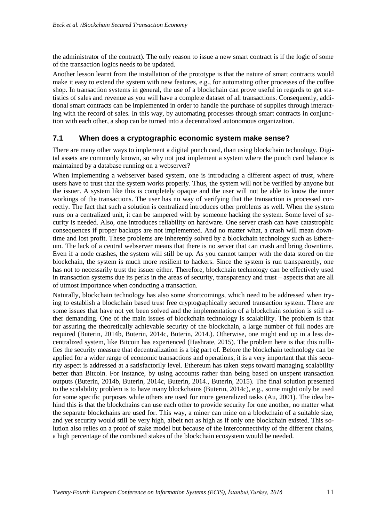the administrator of the contract). The only reason to issue a new smart contract is if the logic of some of the transaction logics needs to be updated.

Another lesson learnt from the installation of the prototype is that the nature of smart contracts would make it easy to extend the system with new features, e.g., for automating other processes of the coffee shop. In transaction systems in general, the use of a blockchain can prove useful in regards to get statistics of sales and revenue as you will have a complete dataset of all transactions. Consequently, additional smart contracts can be implemented in order to handle the purchase of supplies through interacting with the record of sales. In this way, by automating processes through smart contracts in conjunction with each other, a shop can be turned into a decentralized autonomous organization.

#### **7.1 When does a cryptographic economic system make sense?**

There are many other ways to implement a digital punch card, than using blockchain technology. Digital assets are commonly known, so why not just implement a system where the punch card balance is maintained by a database running on a webserver?

When implementing a webserver based system, one is introducing a different aspect of trust, where users have to trust that the system works properly. Thus, the system will not be verified by anyone but the issuer. A system like this is completely opaque and the user will not be able to know the inner workings of the transactions. The user has no way of verifying that the transaction is processed correctly. The fact that such a solution is centralized introduces other problems as well. When the system runs on a centralized unit, it can be tampered with by someone hacking the system. Some level of security is needed. Also, one introduces reliability on hardware. One server crash can have catastrophic consequences if proper backups are not implemented. And no matter what, a crash will mean downtime and lost profit. These problems are inherently solved by a blockchain technology such as Ethereum. The lack of a central webserver means that there is no server that can crash and bring downtime. Even if a node crashes, the system will still be up. As you cannot tamper with the data stored on the blockchain, the system is much more resilient to hackers. Since the system is run transparently, one has not to necessarily trust the issuer either. Therefore, blockchain technology can be effectively used in transaction systems due its perks in the areas of security, transparency and trust – aspects that are all of utmost importance when conducting a transaction.

Naturally, blockchain technology has also some shortcomings, which need to be addressed when trying to establish a blockchain based trust free cryptographically secured transaction system. There are some issues that have not yet been solved and the implementation of a blockchain solution is still rather demanding. One of the main issues of blockchain technology is scalability. The problem is that for assuring the theoretically achievable security of the blockchain, a large number of full nodes are required (Buterin, 2014b, Buterin, 2014c, Buterin, 2014.). Otherwise, one might end up in a less decentralized system, like Bitcoin has experienced (Hashrate, 2015). The problem here is that this nullifies the security measure that decentralization is a big part of. Before the blockchain technology can be applied for a wider range of economic transactions and operations, it is a very important that this security aspect is addressed at a satisfactorily level. Ethereum has taken steps toward managing scalability better than Bitcoin. For instance, by using accounts rather than being based on unspent transaction outputs (Buterin, 2014b, Buterin, 2014c, Buterin, 2014., Buterin, 2015). The final solution presented to the scalability problem is to have many blockchains (Buterin, 2014c), e.g., some might only be used for some specific purposes while others are used for more generalized tasks (Au, 2001). The idea behind this is that the blockchains can use each other to provide security for one another, no matter what the separate blockchains are used for. This way, a miner can mine on a blockchain of a suitable size, and yet security would still be very high, albeit not as high as if only one blockchain existed. This solution also relies on a proof of stake model but because of the interconnectivity of the different chains, a high percentage of the combined stakes of the blockchain ecosystem would be needed.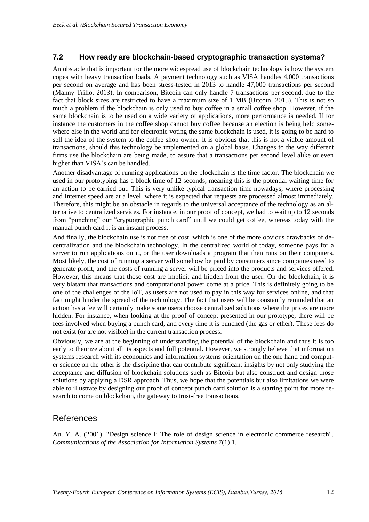#### **7.2 How ready are blockchain-based cryptographic transaction systems?**

An obstacle that is important for the more widespread use of blockchain technology is how the system copes with heavy transaction loads. A payment technology such as VISA handles 4,000 transactions per second on average and has been stress-tested in 2013 to handle 47,000 transactions per second (Manny Trillo, 2013). In comparison, Bitcoin can only handle 7 transactions per second, due to the fact that block sizes are restricted to have a maximum size of 1 MB (Bitcoin, 2015). This is not so much a problem if the blockchain is only used to buy coffee in a small coffee shop. However, if the same blockchain is to be used on a wide variety of applications, more performance is needed. If for instance the customers in the coffee shop cannot buy coffee because an election is being held somewhere else in the world and for electronic voting the same blockchain is used, it is going to be hard to sell the idea of the system to the coffee shop owner. It is obvious that this is not a viable amount of transactions, should this technology be implemented on a global basis. Changes to the way different firms use the blockchain are being made, to assure that a transactions per second level alike or even higher than VISA's can be handled.

Another disadvantage of running applications on the blockchain is the time factor. The blockchain we used in our prototyping has a block time of 12 seconds, meaning this is the potential waiting time for an action to be carried out. This is very unlike typical transaction time nowadays, where processing and Internet speed are at a level, where it is expected that requests are processed almost immediately. Therefore, this might be an obstacle in regards to the universal acceptance of the technology as an alternative to centralized services. For instance, in our proof of concept, we had to wait up to 12 seconds from "punching" our "cryptographic punch card" until we could get coffee, whereas today with the manual punch card it is an instant process.

And finally, the blockchain use is not free of cost, which is one of the more obvious drawbacks of decentralization and the blockchain technology. In the centralized world of today, someone pays for a server to run applications on it, or the user downloads a program that then runs on their computers. Most likely, the cost of running a server will somehow be paid by consumers since companies need to generate profit, and the costs of running a server will be priced into the products and services offered. However, this means that those cost are implicit and hidden from the user. On the blockchain, it is very blatant that transactions and computational power come at a price. This is definitely going to be one of the challenges of the IoT, as users are not used to pay in this way for services online, and that fact might hinder the spread of the technology. The fact that users will be constantly reminded that an action has a fee will certainly make some users choose centralized solutions where the prices are more hidden. For instance, when looking at the proof of concept presented in our prototype, there will be fees involved when buying a punch card, and every time it is punched (the gas or ether). These fees do not exist (or are not visible) in the current transaction process.

Obviously, we are at the beginning of understanding the potential of the blockchain and thus it is too early to theorize about all its aspects and full potential. However, we strongly believe that information systems research with its economics and information systems orientation on the one hand and computer science on the other is the discipline that can contribute significant insights by not only studying the acceptance and diffusion of blockchain solutions such as Bitcoin but also construct and design those solutions by applying a DSR approach. Thus, we hope that the potentials but also limitations we were able to illustrate by designing our proof of concept punch card solution is a starting point for more research to come on blockchain, the gateway to trust-free transactions.

### References

Au, Y. A. (2001). "Design science I: The role of design science in electronic commerce research". *Communications of the Association for Information Systems* 7(1) 1.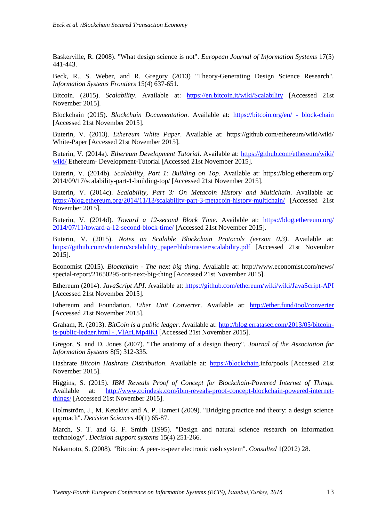Baskerville, R. (2008). "What design science is not". *European Journal of Information Systems* 17(5) 441-443.

Beck, R., S. Weber, and R. Gregory (2013) "Theory-Generating Design Science Research". *Information Systems Frontiers* 15(4) 637-651.

Bitcoin. (2015). *Scalability*. Available at: <https://en.bitcoin.it/wiki/Scalability> [Accessed 21st November 2015].

Blockchain (2015). *Blockchain Documentation*. Available at: [https://bitcoin.org/en/ -](https://bitcoin.org/en/#block-chain) block-chain [Accessed 21st November 2015].

Buterin, V. (2013). *Ethereum White Paper*. Available at: https://github.com/ethereum/wiki/wiki/ White-Paper [Accessed 21st November 2015].

Buterin, V. (2014a). *Ethereum Development Tutorial*. Available at: [https://github.com/ethereum/wiki/](https://github.com/ethereum/wiki/wiki/) [wiki/](https://github.com/ethereum/wiki/wiki/) Ethereum- Development-Tutorial [Accessed 21st November 2015].

Buterin, V. (2014b). *Scalability, Part 1: Building on Top*. Available at: https://blog.ethereum.org/ 2014/09/17/scalability-part-1-building-top/ [Accessed 21st November 2015].

Buterin, V. (2014c). *Scalability, Part 3: On Metacoin History and Multichain*. Available at: <https://blog.ethereum.org/2014/11/13/scalability-part-3-metacoin-history-multichain/> [Accessed 21st November 2015].

Buterin, V. (2014d). *Toward a 12-second Block Time*. Available at: [https://blog.ethereum.org/](https://blog.ethereum.org/2014/07/11/toward-a-12-second-block-time/) [2014/07/11/toward-a-12-second-block-time/](https://blog.ethereum.org/2014/07/11/toward-a-12-second-block-time/) [Accessed 21st November 2015].

Buterin, V. (2015). *Notes on Scalable Blockchain Protocols (verson 0.3)*. Available at: [https://github.com/vbuterin/scalability\\_paper/blob/master/scalability.pdf](https://github.com/vbuterin/scalability_paper/blob/master/scalability.pdf) [Accessed 21st November 2015].

Economist (2015). *Blockchain - The next big thing*. Available at: http://www.economist.com/news/ special-report/21650295-orit-next-big-thing [Accessed 21st November 2015].

Ethereum (2014). *JavaScript API*. Available at:<https://github.com/ethereum/wiki/wiki/JavaScript-API> [Accessed 21st November 2015].

Ethereum and Foundation. *Ether Unit Converter*. Available at: <http://ether.fund/tool/converter> [Accessed 21st November 2015].

Graham, R. (2013). *BitCoin is a public ledger*. Available at: [http://blog.erratasec.com/2013/05/bitcoin](http://blog.erratasec.com/2013/05/bitcoin-is-public-ledger.html#.VlArLMp4iKI)[is-public-ledger.html -](http://blog.erratasec.com/2013/05/bitcoin-is-public-ledger.html#.VlArLMp4iKI) .VlArLMp4iKI [Accessed 21st November 2015].

Gregor, S. and D. Jones (2007). "The anatomy of a design theory". *Journal of the Association for Information Systems* 8(5) 312-335.

Hashrate *Bitcoin Hashrate Distribution*. Available at: [https://blockchain.](https://blockchain/)info/pools [Accessed 21st November 2015].

Higgins, S. (2015). *IBM Reveals Proof of Concept for Blockchain-Powered Internet of Things*. Available at: [http://www.coindesk.com/ibm-reveals-proof-concept-blockchain-powered-internet](http://www.coindesk.com/ibm-reveals-proof-concept-blockchain-powered-internet-things/)[things/](http://www.coindesk.com/ibm-reveals-proof-concept-blockchain-powered-internet-things/) [Accessed 21st November 2015].

Holmström, J., M. Ketokivi and A. P. Hameri (2009). "Bridging practice and theory: a design science approach". *Decision Sciences* 40(1) 65-87.

March, S. T. and G. F. Smith (1995). "Design and natural science research on information technology". *Decision support systems* 15(4) 251-266.

Nakamoto, S. (2008). "Bitcoin: A peer-to-peer electronic cash system". *Consulted* 1(2012) 28.